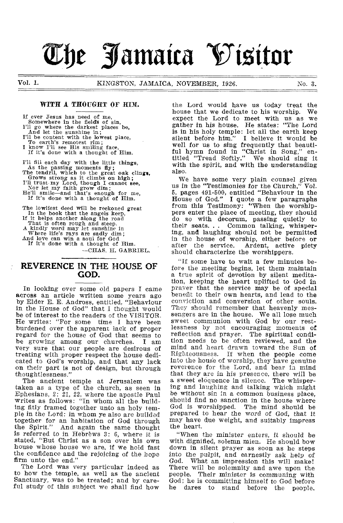# **be Jamaica Vizitor**

#### WITH A THOUGHT OF HIM.

If ever Jesus has need of me, Somewhere in the field's of sin, I'll go where the darkest places be, And let the sunshine in; I'll be content with the lowest place, To earth's remotest rim; I know I'll see His smiling face, If it's done with a thought of Him. I'll fill each day with the little things, As the passing moments fly; The tendril, which to the great oak clings,

Grows strong as it climbs on high; I'll trust, my Lord, though I cannot see, Nor let my faith grow dim; He'll smile—and that's enough for me,

If It's done with a thought of Him.

The lowliest deed will be reckoned great In the book that the angels keep, If it helps another along the road That is often rough and steep. A kindly word may let sunshine in Where life's rays are sadly dim; And love can win a soul for God If it's done with a thought of Him. —CHAS. II. GABRIEL.

# **REVERENCE IN THE HOUSE OF GOD.**

In looking over some old papers I came across an article written some years ago by Elder E. E. Andross, entitled, "Behaviour in the House of God" that I thought would be of interest to the readers of the VISITOR. He writes: "For some time I have been burdened over the apparent lack of proper regard for the house of God that seems to be growing among our churches. I am very sure that our people are desirous of treating with proper respect the house dedicated to God's worship, and that any lack on their part is not of design, but through thoughtlessness."

The ancient temple at Jerusalem was taken as a type of the church, as seen in Ephesians, 2: 21. 22, where the apostle Paul writes as follows: "In whom all the building fitly framed together unto an holy temple in the Lord: in whom ye also are builded together for an habitation of God through the Spirit." And again the same thought is referred to in Hebrews 3: 6, where it is stated, "But Christ as a son over his own house whose house we are, if we hold fast the confidence and the rejoicing of the hope firm unto the end."

The Lord was very particular indeed as to how the temple, as well as the ancient Sanctuary, was to be treated; and by careful study of this subject we shall find how the Lord would have us today treat the house that we dedicate to his worship. We expect the Lord to meet with us as we gather in his house. He states: "The Lord is in his holy temple: let ail the earth keep silent before him." I believe it would be well for us to *sing* frequently that beautiful hymn found in "Christ in Song," entitled "Tread Softly." We should sing it with the spirit, and with the understanding also.

We have some very plain counsel given us in the "Testimonies for the Church," Vol. 5, pages 491-500, entitled "Behaviour in the House of God." I quote a few paragraphs from this Testimony: "When the worshippers enter the place of meeting, they should do so with decorum, passing quietly to their seats. . . Common talking, whispering, and laughing should not be permitted in the house of worship, either before or Ardent, active piety should characterize the worshippers.

"If some have to wait a few minutes before the meeting begins, let them maintain a true spirit of devotion by silent meditation, keeping the heart uplifted to God in prayer that the service may be of special benefit to their own hearts, and lead to the conviction and conversion of other souls. They should remember that heavenly messengers are in the house. We all lose much sweet communion with God by our restlessness by not encouraging moments of reflection and prayer. The spiritual condition needs to be often reviewed, and the mind and heart drawn toward the Sun of Righteousness. If when the people come into the house of worship, they have genuine reverence for the Lord, and bear in mind that they are in his presence, there will be a sweet eloquence in silence. The whispering and laughing and talking which might be without sin in a common business place, should find no sanction in the house where God is worshipped. The mind should be prepared to hear the word of God, that it may have due weight, and suitably impress the heart.

"When the minister enters, it should be with dignified, solemn mien. He should bow down in silent prayer as soon as he steps into the pulpit, and earnestly ask help of God. What an impression this will maker There will be solemnity and awe upon the people. Their minister is communing with God; he is committing himself to God before<br>he dares to stand before the people. he dares to stand before the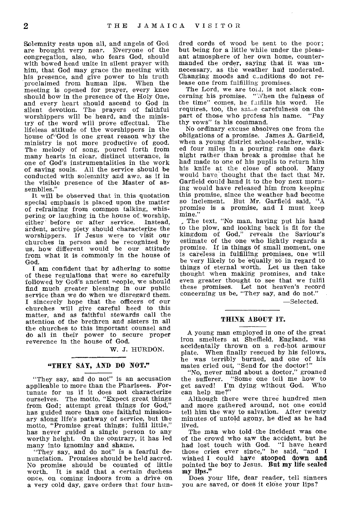Solemnity rests upon all, and angels of God are brought very near. Everyone of the congregation, also, who fears God, should with bowed head unite in silent prayer with him, that God may grace the meeting with his presence, and give power to his truth proclaimed from human lips. When the meeting is opened for prayer, every knee should bow in the presence of the Holy One, and every heart should ascend to God in silent devotion. The prayers of faithful worshippers will be heard, and the minis-<br>try of the word will prove effectual. The try of the word will prove effectual. lifeless attitude of the worshippers in the house of' God is one great reason why the ministry is not more productive of good. The melody of song, poured forth from many hearts in clear, distinct utterance, is one of God's instrumentalities in the work of saving souls. All the service should be conducted with solemnity and awe, as if in the visible presence of the Master of assemblies."

It will be observed that in this quotation special emphasis is placed upon the matter of refraining from common talking, whispering or laughing in the house of worship,<br>either before or after service. Instead, either before or after service. ardent, active piety should characterize the worshippers. If Jesus were to visit our churches in person and be recognized by us, how different would be our attitude from what it is commonly in the house of God.

I am confident that by adhering to some of these regulations that were so carefully followed by God's ancient neople, we should find much greater blessing in our public service than we do when we disregard them. I sincerely hope that the officers of our churches will give careful heed to this matter, and as faithful stewards call the attention of the brethren and sisters in all the churches to this important counsel and do all in their power to secure proper reverence in the house of God.

W. J. HURDON.

#### "THEY SAY, AND DO NOT."

"They say, and do not" is an accusation applicable to more than the Pharisees. Fortunate for us if it does not characterize ourselves. The motto, "Expect great things from God; attempt great things for God," has guided more than one faithful missionary along life's pathway of service, but the motto, "Promise great things; fulfil little," has never guided a single person to any worthy height. On the contrary, it has led many into ignominy and shame.

"They say, and do not" is a fearful denunciation. Promises should be held sacred. No promise should be counted of little worth. It is said that a certain duchess once, on coming indoors from a drive on a very cold day, gave orders that four hun-

dred cords of wood be sent to the poor; but being for a little while under the pleasant atmosphere of her own home, countermanded the order, saying that it was unnecessary, as the weather had moderated. Changing moods and c,nditions do not release one from fulfilling promises.

The Lord, we are told, is not slack concerning his promise. "When the fulness of the time" comes, he fulfills his word. He requires, too, the sal—e carefulness on the part of those who profess his name. "Pay thy vows" is his command.

No ordinary excuse absolves one from the obligations of a promise. James A. Garfield, when a young district school-teacher, walked four miles in a pouring rain one dark night rather than break a promise that he had made to one of his pupils to return him his knife at the close of school. Many would have thought that the fact that Mr. Garfield could hand it to the boy next morning would have released him from keeping this promise, since the weather had become so inclement. But Mr. Garfield said, "A promise is a promise, and I must keep mine.'

The text, "No man, having put his hand to the plow, and looking back is fit for the kingdom of God," reveals the Saviour's estimate of the one who lightly regards a promise. If in things of small moment, one is careless in fulfilling promises, one will be very likely to be equally so in regard to things of eternal worth. Let us then take thought when making promises, and take even greater thought to see that we fulfil these promises. Let not heaven's record concerning us be, "They say, and do not."

—Selected.

#### THINK ABOUT IT.

A young man employed in one of the great iron smelters at Sheffield, England, was accidentally thrown on a red-hot armour plate. When finally rescued by his fellows, he was terribly burned, and one of his mates cried out, "Send for the doctor!"

"No, never mind about a doctor," groaned the sufferer. "Some one tell me how to<br>get saved! I'm dying without God. Who I'm dying without God. can help, me?"

Although there were three hundred men and more gathered around, not one could tell him the way to salvation. After twenty minutes of untold agony, he died as he had lived.

The man who told the incident was one of the crowd who saw the accident, but he had lost touch with God. "I have heard those cries ever since," he said, "and I wished I could have stooped down and pointed the boy to Jesus. But my life sealed my lips."

Does your life, dear reader, tell sinners you are saved, or does it close your lips?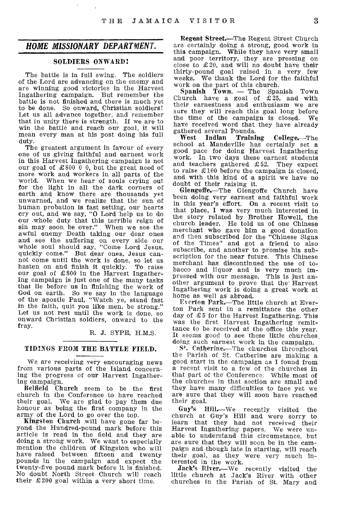# *HOME MISSIONARY DEPARTMENT.*

# SOLDIERS ONWARD!

The battle is in full swing. The soldiers of the Lord are advancing on the enemy and are winning good victories in the Harvest Ingathering campaign. But remember the battle is not finished and there is much yet to be done. So onward, Christian soldiers! Let us all advance together, and remember that in unity there is strength. If we are to win the battle and reach our goal, it will mean every man at his post doing his full duty.

The greatest argument in favour of every one of us giving faithful and earnest work in this Harvest Ingathering campaign is not our goal of £800 0 0, but the great need of more work and workers in all parts of the world. When we hear of souls crying out for the light in all the dark corners of earth and know there are thousands yet unwarned, and we realize that the sun of human probation is fast setting, our hearts cry out, and we say, "0 Lord help us to do our whole duty that this terrible reign of sin may soon be over." When we see the awful enemy Death taking our dear ones and see the suffering on every side our whole soul should say, "Come Lord Jesus, quickly come." But dear ones, Jesus cannot come until the work is done, so let us hasten on and finish it quickly. To raise our goal of £800 in the Harvest Ingathering campaign is just one of the many tasks that lie before us in finishing the work of God on earth. So we say in the language of the apostle Paul, "Watch ye, stand fast in the faith, quit you like men, be strong.' Let us not rest until the work is done, so onward Christian soldiers, onward to the fray.

R. J. SYPE, H.M.S.

#### TIDINGS FROM THE BATTLE FIELD.

We, are receiving very encouraging news from various parts of the Island concerning the progress of our Harvest Ingathering campaign.

BelfieId Church seem to be the first church in the Conference to have reached their goal. We are glad to pay them due honour as being the first company in the army of the Lord to go over the top.

Kingston Church will have gone far beyond the Hundred-pound mark before this article is read in the field and they are doing a strong work. We want to especially mention the children of Kingston who will have raised between fifteen and twenty pounds in the campaign and expect the twenty-five pound mark before it is finished. No doubt North Street Church will reach their £200 goal within a very short time.

Regent Street.—The Regent Street Church are certainly doing a strong, good work in this campaign. While they have very small and poor territory, they are pressing on close to £20, and will no doubt have their thirty-pound goal raised in a very few weeks. We thank the Lord for the faithful work on the part of this church.

Spanish Town. — The Spanish Town Church have a goal of  $\pounds 25$ , and with their earnestness and enthusiasm we are sure they will reach this goal long before the time of the campaign is closed. We have received word that they have already gathered several Pounds.<br>West Indian Traini

Training College.—The school at Mandeville has certainly set a good pace for doing Harvest Ingathering work. In two days these earnest students and teachers gathered £52. They expect to raise £100 before the campaign is closed, and with this kind of a spirit we have no doubt of their raising it.

Glengoffe.—The Glengoffe Church have been doing very earnest and faithful work in this year's effort. On a recent visit to that place, I was very much interested in the story related by Brother Howell, the church leader. He told us of one Chinese merchant who gave him a good donation and then subscribed for the "Chinese Signs of the Times" and got a friend to also subscribe, and another to promise his subscription for the near future. This Chinese merchant has discontinued the use of tobacco and liquor and is very much impressed with our message. This is just another argument to prove that the' Harvest Ingathering work is doing a great work at home as well as abroad.

Everton Park.—The little church at Everton Park sent in a remittance the other day of 25 for the Harvest Ingathering. This was the first Harvest Ingathering remittance to be received at the office this year. It seems good to see these little churches doing such earnest work in the campaign.

S<sup>4</sup>. Catherine.—The churches throughout the Parish of St. Catherine are making a good start in the campaign as I found from a recent visit to a few of the churches in that part of the Conference. While most of the churches in that section are small and they have many difficulties to face yet we are sure that they will soon have reached their goal.<br>Guy's I

Hill.—We recently visited the church at Guy's Hill and were sorry to learn that they had not received their Harvest Ingathering papers. We were unable to understand this circumstance, but are sure that they will soon be in the campaign and though late in starting, will reach their goal, as they were very much interested in the work.

Jack's River.—We recently visited the little church at Jack's River with other churches in the Parish of St. Mary and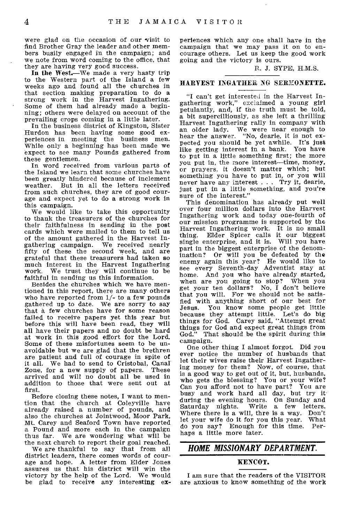were glad on the occasion of our visit to find Brother Gray the leader and other members busily engaged in the campaign; and we note from word coming to the office, that they are having very good success.

In the West.—We made a very hasty trip to the Western part of the Island a few weeks ago and found all the churches in that section making preparation to do a strong work in the Harvest Ingathering. Some of them had already made a beginning; others were delayed on account of the prevailing crops coming in a little later.

In the business district of Kingston, Sister Hurdon has been having some good experiences in meeting the business men. While only a beginning has been made we expect to see many Pounds gathered from these gentlemen.

In word received from various parts of the Island we learn that some churches have been greatly hindered because of inclement weather. But in all the letters received from such churches, they are of good courage and expect yet to do a strong work in this campaign.

We would like to take this opportunity to thank the treasurers of the churches for their faithfulness in sending in the post cards which were mailed to them to tell us of the amount gathered in the Harvest Ingathering campaign. We received nearly fifty of these the second week, and are grateful that these treasurers had taken so much interest in the Harvest Ingathering work. We trust they will continue to be faithful in sending us this information.

Besides the churches which we have mentioned in this report, there are many others who have reported from 1/- to a few pounds gathered up to date. We are sorry to say that a few churches have for some reason failed to receive papers yet this year but before this will have been read, they will all have their papers and no doubt be hard at work in this good effort for the Lord. Some of these misfortunes seem to be unavoidable but we are glad that the brethren are patient and full of courage in spite of it all. We had to send to Cristobal, Canal Zone, for a new supply of papers. arrived and will no doubt all be used in addition to those that were sent out at first.

Before closing these notes, I want to mention that the church at Coleyville have already raised a number of pounds, and also the churches at Jointwood, Moor Park, Mt. Carey and Seaford Town have reported a Pound and more each in the campaign thus far. We are wondering what will be the next church to report their goal reached.

We are thankful to say that from all district leaders, there comes words of courage and hope. A letter from Elder Jones assures us that his district will win the victory by the help of the Lord. We would be glad to receive any interesting experiences which any one shall have in the campaign that we may pass it on to encourage others. Let us keep the good work going and the victory is ours.

#### R. J. SYPE, H.M.S.

## HARVEST INGATHER NG SERMONETTE.

"I can't get interested in the Harvest Ingathering work," exclaimed a young girl petulantly, and, if the truth must be told, a bit supercilliously, as she left a thrilling Harvest Ingathering rally in company with an older lady. We were near enough to hear the answer. "No, dearie, it is not expected you should be yet awhile. It's just like getting interest in a bank. You have to put in a little something first; the more you put in, the more interest—time, money, or prayers, it doesn't matter which; but something you have to put in, or you will never have any interest . . . Try it, dearie, just put in a little something, and you're sure of the interest."

This denomination has already put well over four million dollars into the Harvest Ingathering work and today one-fourth of our mission programme is supported by the Harvest Ingathering work. It is no small Elder Spicer calls it our biggest single enterprise, and it is. Will you have part in the biggest enterprise of the denomination? Or will you be defeated by the enemy again this year? He would like to see every Seventh-day Adventist stay at home. And you who have already started,<br>when are you going to stop? When you when are you going to stop? get your ten dollars? No, I don't believe that you will. For we should not be satisfied with anything short of our best for You know some people get little because they attempt little. Let's do big things for God. Carey said, "Attempt great things for God and expect great things from That should be the spirit during this campaign.

One other thing I almost forgot. Did you ever notice the number of husbands that let their wives raise their Harvest Ingathering money for them? Now, of course, that is a good way to get out of it, but, husbands, who gets the blessing? You or your wife? Can you afford not to have part? You are busy and work hard all day, but try it during the evening hours. On Sunday and Saturday nights. Write a few letters. Write a few letters. Where there is a will, thre is a way. Don't let your wife do it for you this year. What do you say? Enough for this time. Perhaps a little more later.

# *HOME MISSIONARY DEPARTMENT.*

#### KENCOT.

I am sure that the readers of the VISITOR are anxious to know something of the work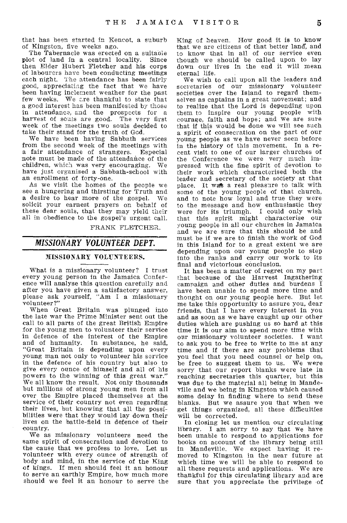that has been started in Kencot, a suburb of Kingston, five weeks ago.

The Tabernacle was erected on a suitable plot of land in a central locality. Since then Elder Hubert Fletcher and his corps of labourers have been conducting meetings each night. The attendance has been fairly good, appreciating the fact that we have been having inclement weather for the past few weeks. We are thankful to state that a good interest has been manifested by those in attendance, and the prospects for a harvest of souls are good. The very first week of the meetings two souls decided to take their stand for the truth of God.

We have been having Sabbath services from the second week of the meetings with a fair attendance of strangers. Especial note must be made of the attendance of the children, which was very encouraging. We have just organised a Sabbath-school with an enrollment of forty-one.

As we visit the homes of the people we see a hungering and thirsting for Truth and a desire to hear more of the gospel. We solicit your earnest prayers on behalf of these dear souls, that they may yield their all in obedience to the gospel's urgent call.

FRANK FLETCHER.

# *MISSIONARY VOLUNTEER DEPT.*

#### MISSIONARY VOLUNTEERS.

What is a missionary volunteer? I trust every young person in the Jamaica Conference will analyse this question carefully and after you have given a satisfactory answer, please ask yourself, "Am I a missionary volunteer?"

When Great Britain was plunged into the late war the Prime Minister sent out the call to all parts of the great British Empire for the young men to volunteer their service in defence of the interest of the Empire and of humanity. In substance, he said, "Great Britain is depending upon every young man not only to volunteer his service in the defence of his country but also to give every ounce of himself and all of his powers to the winning of this great war." We all know the result. Not only thousands but millions of strong young men from all over the Empire placed themselves at the service of their country not even regarding their lives, but knowing that all the possibilities were that they would lay down their lives on the battle-field in defence of their country.

We as missionary volunteers need the same spirit of consecration and devotion to the cause that we profess to love. Let us volunteer with every ounce of strength of body and mind, in the service of the King of kings. If men should feel it an honour to serve an earthly Empire, how much more should we feel it an honour to serve the King of heaven. How good it is to know that we are citizens of that better land, and to know that in all of our service even though we should be called upon to lay down our lives in the end it will mean eternal life.

We wish to call upon all the leaders and secretaries of our missionary volunteer societies over the Island to regard themselves as captains in a great movement; and to realize that the Lord is depending upon them to inspire our young people with courage, faith and hope; and we are sure that if this would be done we will see such a spirit of consecration on the part of our young people as we have never seen before in the history of this movement. In a recent visit to one of our larger churches of the Conference we were very much impressed with the fine spirit of devotion to their work which characterised both the leader and secretary of the society at that place. It was a real pleasure to talk with some of the young people of that church, and to note how loyal and true they were to the message and how enthusiastic they were for its triumph. I could only wish that this spirit might characterise our young people in all our churches in Jamaica and we are sure that this should be and must be if we are to finish the work of God in this Island for to a great extent we are depending upon our young people to step into the ranks and carry our work to its final and victorious conclusion.

It has been a matter of regret on my part that because of the Harvest Ingathering campaign and other duties and burdens I have been unable to spend more time and thought on our young people here. But let me take this opportunity to assure you, dear friends, that I have every interest in you and as soon as we have caught up our other duties which are pushing us so hard at this time it is our aim to spend more time with our missionary volunteer societies. I want to ask you to be free to write to me at any time and if there are any problems that you feel that you need counsel or help on, be free to suggest them to us. We were sorry that our report blanks were late in reaching secretaries this quarter, but this was due to the material all being in Mandeville and we being in Kingston which caused some delay in finding where to send these blanks. But we assure you that when we get things organized, all these difficulties will be corrected.

In closing let us mention our circulating library. I am sorry to say that we have been unable to respond to applications for books on account of the library being still in Mandeville. We expect having it removed to Kingston in the near future at which time we will be able to respond to all these requests and applications. We are thankful for this circulating library and are sure that you appreciate the privilege of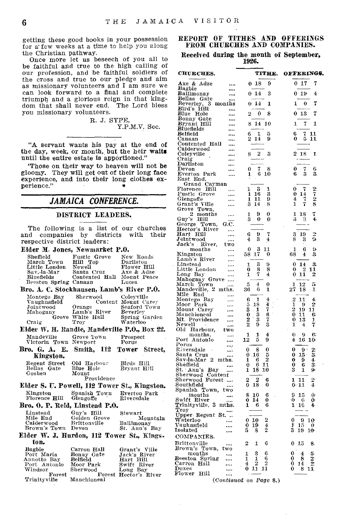getting these good books in your possession for a; few weeks at a time to help you along the Christian pathway.

Once more let us beseech of you all to be faithful and true to the high calling of our profession, and be faithful soldiers of the cross and true to our pledge and aim as missionary volunteers and I am sure we can look forward to a final and complete triumph and a glorious reign in that kingdom that shall never end. The Lord bless you missionary volunteers.

> R. J. SYPE, Y.P.M.V. Sec.

"A servant wants his pay at the end of the day, week, or month, but the heir waits until the entire estate is apportioned."

`Those on their way to heaven will not be gloomy. They will get out of their long face experience, and into their long clothes experience."

# *JAMAICA CONFERENCE.*

#### DISTRICT LEADERS.

The following is a list of our churches and companies by districts with their respective district leaders:

# Elder M. Jones, Newmarket P.O.

| Sheffield                                 | Fustic Grove   | New Roads   |
|-------------------------------------------|----------------|-------------|
| March Town                                | Hill Top       | Darliston   |
| Little London                             | Newell         | Flower Hill |
| Sav.-la-Mar                               | Santa Cruz     | Axe & Adze  |
| Bluefields                                | Contented Hall | Mount Peace |
| Beeston Spring Canaan                     |                | Lucea       |
| Bro. A. C. Stockhausen, Lamb's River P.O. |                |             |

| Montego Bay  | Sherwood         | Coleyville          |
|--------------|------------------|---------------------|
| Vaughnsfield |                  | Content Mount Carey |
| Jointwood    | Orange           | Seaford Town        |
| Mahogany     | Lamb's River     | Beverley            |
|              | Grove White Hall | Spring Garden       |
| Craig        | Troy             | Waterloo            |

#### Elder W. H. Randle, Mandeville P.O., Box 22.<br>Mandeville Grove Town Prospect Grove Town Prospect<br>Newport Porus Victoria Town Newport

Bro. G. A. E. Smith, 112 Tower Street, Kingston. Bellas Gate<br>Goshen Regent Street Old Harbour Birds Hill Bryant Hill Old Harbour **Blue Hole** 

Mount Providence

#### Elder S. U. Powell, 112 Tower St., Kingston.<br>Kingston Spanish Town Everton Park Spanish Town Everton Pa<br>Glengoffe Riversdale  $Florence$  Hill  $\frac{\text{Bro. 0. P. Reid, Linstead P.0.}}{\text{Universal} + \text{Hill}}$ Guy's Hill

| Fiday W      |              | I Hurdon 119 Towar St Kings |
|--------------|--------------|-----------------------------|
| Brown's Town | Devon        | St. Ann's Bay               |
| Calderwood   | Brittonville | Ballimonay                  |
| Mile End     | Golden Grove | Mountain                    |
| missicau     | vuv з пи     | outware.                    |

#### Elder W. J. Hurdon, 112 Tower St., Kingston.

| Bagbie       | Carron Hall | Grant's Ville         |
|--------------|-------------|-----------------------|
| Port Maria   | Bonny Gate  | Jack's River          |
| Annotto Bay  | Belfield    | Hart Hill             |
| Port Antonio | Moor Park   | Swift River           |
| Windsor      | Sherwood    | Long Bay              |
| Forest       |             | Forest Hector's River |
| Trinityville | Manchioneal |                       |

## REPORT OF TITHES AND OFFERINGS FROM CHURCHES AND COMPANIES.

#### Received during the month of September, 1926.

| <b>CHURCHES.</b>                                              | TITHE.                                          | OFFERINGS.                                                   |
|---------------------------------------------------------------|-------------------------------------------------|--------------------------------------------------------------|
| Axe & Adze<br>                                                | 18<br>9<br>0                                    | 7<br>17<br>0                                                 |
| Bagbie<br>Ballimonay<br>                                      | 3<br>14<br>0                                    | $\overline{4}$<br>19<br>O                                    |
| Bellas<br>Gate                                                |                                                 |                                                              |
| Beverley, {<br>Bird's Hill<br>-3<br>months<br>$\ddotsc$       | 14<br>1<br>0                                    | 0<br>1<br>7                                                  |
| Blue<br>Hole                                                  | 0<br>8<br>2                                     | 0<br>13<br>7                                                 |
| Bonny Gate<br>Bryant Hill<br><br>                             | 14<br>10<br>8                                   | 7<br>1<br>1                                                  |
| Bluefields                                                    | 6<br>1<br>5                                     | 6                                                            |
| Belfield<br>Canaan                                            | 2<br>14<br>9                                    | 7<br>11<br>5<br>0<br>11                                      |
| Contented 1<br>Calderwood<br>Hall                             |                                                 |                                                              |
| <br>Coleyville<br>$\cdots$                                    | 2<br>3<br>8                                     | $\overline{2}$<br>18<br>1                                    |
| $_{\rm Craig}$<br><br>Darliston<br>                           |                                                 |                                                              |
| Devon                                                         | 0<br>7<br>8                                     | 0<br>$\frac{7}{3}$<br>$\frac{6}{3}$                          |
| Everton<br>Park<br><br>East<br>End,                           | 6<br>1<br>10                                    | 6                                                            |
| Cayman<br>Grand                                               | 3                                               |                                                              |
| Florence<br>нiп<br><br>$\mathbf{Fustic}$<br>Grove<br>$\cdots$ | 1<br>1<br>16<br>3<br>1                          | 7<br>0<br>0<br>14                                            |
| Glengoffe<br>Grant's<br><br>Ville                             | 11<br>9<br>1<br>Ŝ<br>14<br>8                    | $\frac{2}{7}$ $\frac{2}{8}$<br>$\overline{4}$<br>7<br>7<br>1 |
| <br>Town,<br>Grove                                            |                                                 |                                                              |
| $\overline{2}$<br>months<br><br>Guy's<br>Hill                 | 9<br>0<br>1<br>3<br>0<br>0                      | 1<br>18<br>7<br>4<br>3<br>З                                  |
| G.C.<br>George<br>Town,                                       |                                                 |                                                              |
| Hector's<br>River<br>Hill<br>Hart<br>                         | 9<br>6<br>7                                     | $\overline{2}$<br>3<br>19                                    |
| ${\tt Jointwood}$<br>                                         | 3<br>4<br>4                                     | 8<br>9<br>3                                                  |
| $\mathbf{Jack's}$<br>River,<br>two<br>months<br>              | 3<br>0<br>11                                    | 9<br>1<br>6                                                  |
| Kingston                                                      | 17<br>58<br>0                                   | 68<br>3<br>4                                                 |
| Lamb's River<br><br>Linstead<br>                              | 3<br>1<br>9                                     | 0<br>3.<br>14                                                |
| Little London<br>Long Bay<br>                                 | 0<br>8<br>8<br>7<br>4<br>1                      | 0<br>2<br>11<br>11<br>2<br>0                                 |
| <br>Mahogany<br>Grove<br>$\cdots$                             |                                                 |                                                              |
| Town<br>March<br><br>Mandeville, 2<br>mths.                   | 4<br>5<br>0<br>36<br>6<br>1                     | $\frac{12}{18}$<br>1<br>5<br>$2\overset{.}{7}$<br>1          |
| Mile<br>End<br>                                               |                                                 |                                                              |
| Montego Bay<br><br>Moor<br>Park<br>                           | $\frac{4}{4}$<br>6<br>1<br>5<br>18              | 2<br>11<br>4.<br>ī<br>2<br>9                                 |
| Mount<br>Carey<br>                                            | 7<br>3                                          | 2<br>11<br>19                                                |
| Manchioneal<br>$\cdots$<br>Mt. Providence<br>$\cdots$         | $\frac{1}{3}$<br>$\frac{0}{2}$<br>$\frac{6}{3}$ | 0<br>11<br>6<br>0<br>13<br>1.                                |
| Newell<br><br>Old<br>Harbour,<br>two                          | 9                                               | 1<br>7<br>4                                                  |
| months.<br>                                                   | $\overline{4}$<br>1<br>1                        | 0<br>¢,<br>6.                                                |
| Port<br>Antonio<br><br>Porus                                  | 12<br>5<br>9                                    | 4<br>16<br>10                                                |
| <br>Riversdale<br>$\cdots$                                    | 0<br>0<br>8                                     | 0<br>9                                                       |
| Santa Cruz<br><br>Sav-la-Mar 2<br>mths.                       | 0<br>16<br>$\frac{5}{2}$<br>1<br>6              | ż<br>l,<br>0<br>15<br>0<br>9<br>4                            |
| Shèffield                                                     | 11<br>6<br>0                                    | 3.<br>0<br>6                                                 |
| St. Ann's Bay<br>Sherwood Content<br>Sherwood Forest          | 10<br>1<br>18                                   | 3<br>1<br>9.                                                 |
| <br>Southfield                                                | $\overline{2}$<br>2<br>6<br>0<br>18<br>0        | $\overline{2}$<br>1<br>11<br>$\overline{4}$<br>0<br>11       |
| Town,<br>two<br>$_{\rm Spanish}$                              |                                                 |                                                              |
| months<br><br>Swift River<br>                                 | 8<br>6<br>10<br>0<br>14<br>0                    | 9<br>$\theta$<br>15<br>0<br>6<br>o                           |
| Trinityville, 3<br>mths.                                      | 1<br>6<br>6                                     | 16<br>1<br>4                                                 |
| $\tilde{\mathrm{T}}$ roy<br><br>Upper Regent<br>St.           |                                                 |                                                              |
| Waterloo<br>                                                  | 2<br>0<br>10                                    | 0<br>9.<br>10                                                |
| Vauhnsfield<br><br>Isolated                                   | 19<br>$\frac{4}{2}$<br>0<br>8<br>5              | $\frac{1}{3}$<br>15<br>0<br>19<br>10 <sub>°</sub>            |
| <b>COMPANIES.</b>                                             |                                                 |                                                              |
| Brittonville<br>                                              | 2<br>1<br>6                                     | 0<br>15<br>8                                                 |
| Brown's Town,<br>two<br>months<br>                            | Ş<br>6<br>1                                     | 0<br>4<br>5.                                                 |
| ${\bf Beeston}$<br>Spring<br><br>Hall                         | 1<br>$\frac{1}{2}$<br>6<br>2<br>4               | $\bf{0}$<br>8<br>2<br>$\bar{2}$<br>$\bf{0}$<br>14            |
| Carron<br>Duxes<br>                                           | 11<br>11<br>0                                   | 8<br>0<br>11                                                 |
| Flower<br>Hill<br><br>$\sim$                                  |                                                 |                                                              |

*(Continued* on Page 8.)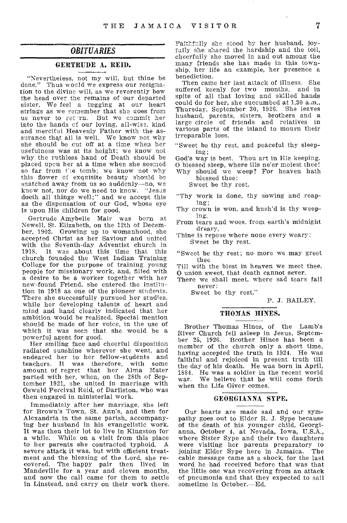# *OBITUARIES*

## GERTRUDE A. REID.

"Nevertheless, not my will, but thine be done." Thus would we express our resignation to the divine will, as we reverently bow the head over the remains of our departed sister. We feel a tugging at our heart strings as we remember that she goes from us never to return. But we commit her into the hands of our loving, all-wise. kind and merciful Heavenly Father with **the** assurance that all is well. We know not why she should be cut off at a time when her usefulness was at its height; we know not why the ruthless hand of Death should **be**  placed upon her at a time when she **seemed**  so far from *t*'s tomb; we know not why this flower of exquisite beauty **should be**  snatched away from us so suddenly—no, **we**  know not, nor do we need to know. "Jesas doeth all things well;" and we accept **this as** the dispensation of our God, whose **eye**  is upon His children for good.

Gertrude Amybelle Mair was **born at**  Newell, St. Elizabeth, on the 12th of December, 1902. Growing up to womanhood, **she**  accepted Christ as her Saviour and united with the Seventh-day Adventist church **in**  1918. It was about this time that this church founded the West Indian Training College for the purpose of training young people for missionary work, and, filled with a desire to be a worker together with **her**  new-found Friend, she entered the **institution** in 1918 as one of the pioneer **students.**  There she successfully pursued her **studies.**  while her developing talents of heart **and**  mind and hand clearly indicated that her ambition would be realized. Special mention should be made of her voice, in the use of which it was seen that she would be a powerful agent for good.

Her smiling face and cheerful disposition radiated sunshine wherever she went, and endeared her to her fellow-students and teachers. It was therefore, with some amount of regret that her Alma Mater parted with her, when, on the 28th of September 1921, she united in marriage with Oswald Percival Reid, of Darliston, who was then engaged in ministerial work.

Immediately after her marriage, she left for Brown's Town, St. Ann's, and then for Alexandria in the same parish, accompanying her husband in his evangelistic work. It was then their lot to live in Kingston for a while. While on a visit from this place to her parents she contracted typhoid. A severe attack it was, but with efficient treatment and the blessing of the Lord, she recovered. The happy pair then lived in Mandeville for a year and eleven months, and now the call came for them to settle in Linstead, and carry on their work there.

**Faithfully she stood** by her husband, **joyfully she shared the** hardship and the toil, cheerfully **she** moved in and out among **the**  many friends she has made in this township, her life an example, her presence **a**  benediction.

Then came her last attack of illness. She suffered keenly for two months, and in spite of all that loving and skilled hands could do for her, she succumbed at 1.30 a.m., Thursday, September 30, 1926. She leaves husband, parents, sisters, brothers and a large circle of friends and relatives in various parts of the island to mourn their irreparable loss.

"Sweet be thy rest, and peaceful thy sleeping;

God's way is best. Thou art in His keeping. O blessed sleep, where ills ne'er molest thee! Why should we weep? For heaven hath

blessed thee:

Sweet be thy rest.

"Thy work is done, thy sowing and reaping;

Thy **crown** is won, and hush'd is thy **weeping.** 

From tears and woes. from **earth's** midnight **dreary,** 

Thine is repose where none every weary: Sweet be thy rest.

"Sweet be thy rest; no more we may greet thee

Till with the blest in heaven we meet thee. **0** union sweet, that death cannot sever.

There we shall meet, where sad tears fall never:

Sweet be thy rest."

P. J. BAILEY.

#### THOMAS HINES.

Brother Thomas Hines, of the Lamb's River Church fell asleep in Jesus, September 25, 1926. Brother Hines has been a member of the church only a short time, having accepted the truth in 1924. He was faithful and rejoiced in present truth till the day of his death. He was born in April, 1884. He was a soldier in the recent world war. We believe that he will come forth when the Life Giver comes.

#### GEORGIANNA SYPE.

Our hearts are made sad and our sym-pathy goes out to Elder R. J. Sype because of the death of his younger child, Georgianna, October 4, at Nevada, Iowa, U.S.A., where Sister Sype and their two daughters were visiting her parents preparatory to joining Elder Sype here in Jamaica. The cable message came as a shock, for the last word he had received before that was that the little one was recovering from an attack of pneumonia and that they expected to sail sometime in October.—Ed.